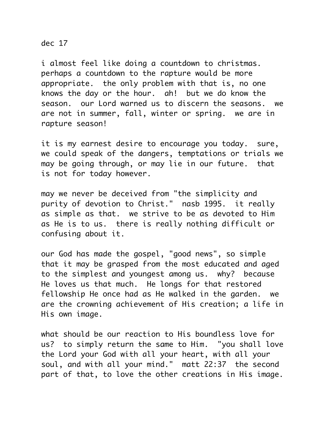## dec 17

i almost feel like doing a countdown to christmas. perhaps a countdown to the rapture would be more appropriate. the only problem with that is, no one knows the day or the hour. ah! but we do know the season. our Lord warned us to discern the seasons. we are not in summer, fall, winter or spring. we are in rapture season!

it is my earnest desire to encourage you today. sure, we could speak of the dangers, temptations or trials we may be going through, or may lie in our future. that is not for today however.

may we never be deceived from "the simplicity and purity of devotion to Christ." nasb 1995. it really as simple as that. we strive to be as devoted to Him as He is to us. there is really nothing difficult or confusing about it.

our God has made the gospel, "good news", so simple that it may be grasped from the most educated and aged to the simplest and youngest among us. why? because He loves us that much. He longs for that restored fellowship He once had as He walked in the garden. we are the crowning achievement of His creation; a life in His own image.

what should be our reaction to His boundless love for us? to simply return the same to Him. "you shall love the Lord your God with all your heart, with all your soul, and with all your mind." matt 22:37 the second part of that, to love the other creations in His image.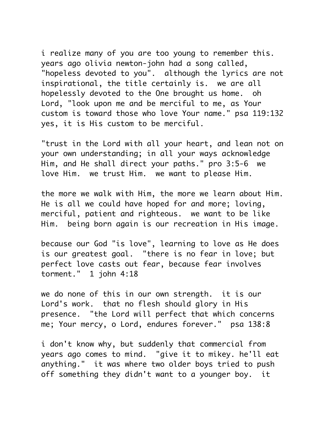i realize many of you are too young to remember this. years ago olivia newton-john had a song called, "hopeless devoted to you". although the lyrics are not inspirational, the title certainly is. we are all hopelessly devoted to the One brought us home. oh Lord, "look upon me and be merciful to me, as Your custom is toward those who love Your name." psa 119:132 yes, it is His custom to be merciful.

"trust in the Lord with all your heart, and lean not on your own understanding; in all your ways acknowledge Him, and He shall direct your paths." pro 3:5-6 we love Him. we trust Him. we want to please Him.

the more we walk with Him, the more we learn about Him. He is all we could have hoped for and more; loving, merciful, patient and righteous. we want to be like Him. being born again is our recreation in His image.

because our God "is love", learning to love as He does is our greatest goal. "there is no fear in love; but perfect love casts out fear, because fear involves torment." 1 john 4:18

we do none of this in our own strength. it is our Lord's work. that no flesh should glory in His presence. "the Lord will perfect that which concerns me; Your mercy, o Lord, endures forever." psa 138:8

i don't know why, but suddenly that commercial from years ago comes to mind. "give it to mikey. he'll eat anything." it was where two older boys tried to push off something they didn't want to a younger boy. it